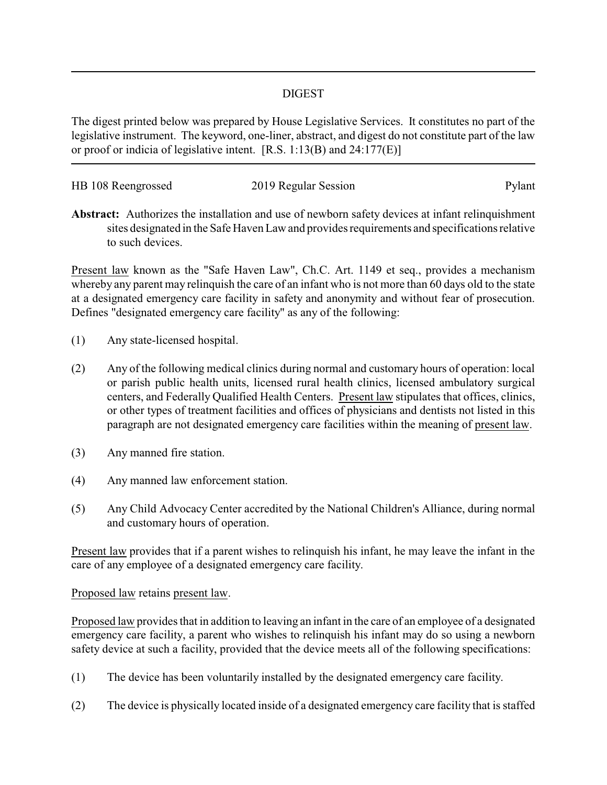## DIGEST

The digest printed below was prepared by House Legislative Services. It constitutes no part of the legislative instrument. The keyword, one-liner, abstract, and digest do not constitute part of the law or proof or indicia of legislative intent. [R.S. 1:13(B) and 24:177(E)]

| HB 108 Reengrossed | 2019 Regular Session | Pylant |
|--------------------|----------------------|--------|
|                    |                      |        |

**Abstract:** Authorizes the installation and use of newborn safety devices at infant relinquishment sites designated in the Safe Haven Law and provides requirements and specifications relative to such devices.

Present law known as the "Safe Haven Law", Ch.C. Art. 1149 et seq., provides a mechanism whereby any parent may relinquish the care of an infant who is not more than 60 days old to the state at a designated emergency care facility in safety and anonymity and without fear of prosecution. Defines "designated emergency care facility" as any of the following:

- (1) Any state-licensed hospital.
- (2) Any of the following medical clinics during normal and customary hours of operation: local or parish public health units, licensed rural health clinics, licensed ambulatory surgical centers, and Federally Qualified Health Centers. Present law stipulates that offices, clinics, or other types of treatment facilities and offices of physicians and dentists not listed in this paragraph are not designated emergency care facilities within the meaning of present law.
- (3) Any manned fire station.
- (4) Any manned law enforcement station.
- (5) Any Child Advocacy Center accredited by the National Children's Alliance, during normal and customary hours of operation.

Present law provides that if a parent wishes to relinquish his infant, he may leave the infant in the care of any employee of a designated emergency care facility.

## Proposed law retains present law.

Proposed law provides that in addition to leaving an infant in the care of an employee of a designated emergency care facility, a parent who wishes to relinquish his infant may do so using a newborn safety device at such a facility, provided that the device meets all of the following specifications:

- (1) The device has been voluntarily installed by the designated emergency care facility.
- (2) The device is physically located inside of a designated emergency care facility that is staffed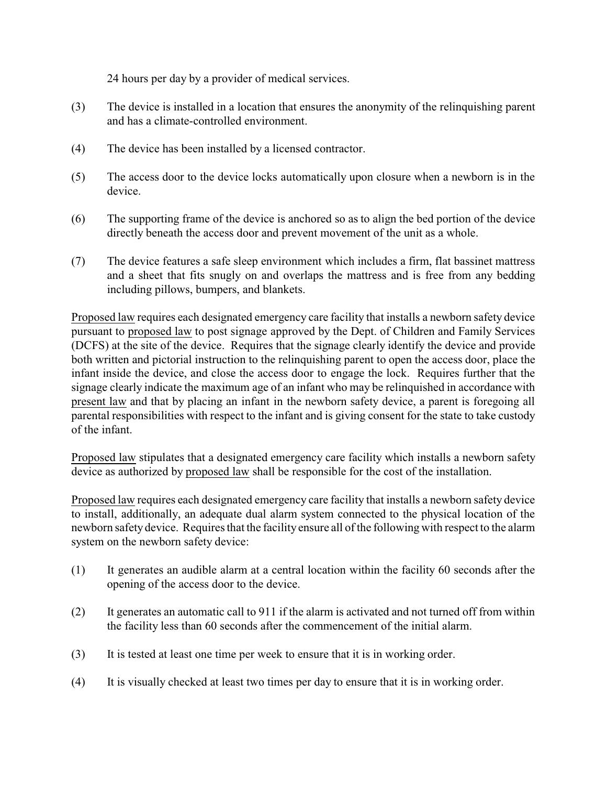24 hours per day by a provider of medical services.

- (3) The device is installed in a location that ensures the anonymity of the relinquishing parent and has a climate-controlled environment.
- (4) The device has been installed by a licensed contractor.
- (5) The access door to the device locks automatically upon closure when a newborn is in the device.
- (6) The supporting frame of the device is anchored so as to align the bed portion of the device directly beneath the access door and prevent movement of the unit as a whole.
- (7) The device features a safe sleep environment which includes a firm, flat bassinet mattress and a sheet that fits snugly on and overlaps the mattress and is free from any bedding including pillows, bumpers, and blankets.

Proposed law requires each designated emergency care facility that installs a newborn safety device pursuant to proposed law to post signage approved by the Dept. of Children and Family Services (DCFS) at the site of the device. Requires that the signage clearly identify the device and provide both written and pictorial instruction to the relinquishing parent to open the access door, place the infant inside the device, and close the access door to engage the lock. Requires further that the signage clearly indicate the maximum age of an infant who may be relinquished in accordance with present law and that by placing an infant in the newborn safety device, a parent is foregoing all parental responsibilities with respect to the infant and is giving consent for the state to take custody of the infant.

Proposed law stipulates that a designated emergency care facility which installs a newborn safety device as authorized by proposed law shall be responsible for the cost of the installation.

Proposed law requires each designated emergency care facility that installs a newborn safety device to install, additionally, an adequate dual alarm system connected to the physical location of the newborn safetydevice. Requires that the facility ensure all of the following with respect to the alarm system on the newborn safety device:

- (1) It generates an audible alarm at a central location within the facility 60 seconds after the opening of the access door to the device.
- (2) It generates an automatic call to 911 if the alarm is activated and not turned off from within the facility less than 60 seconds after the commencement of the initial alarm.
- (3) It is tested at least one time per week to ensure that it is in working order.
- (4) It is visually checked at least two times per day to ensure that it is in working order.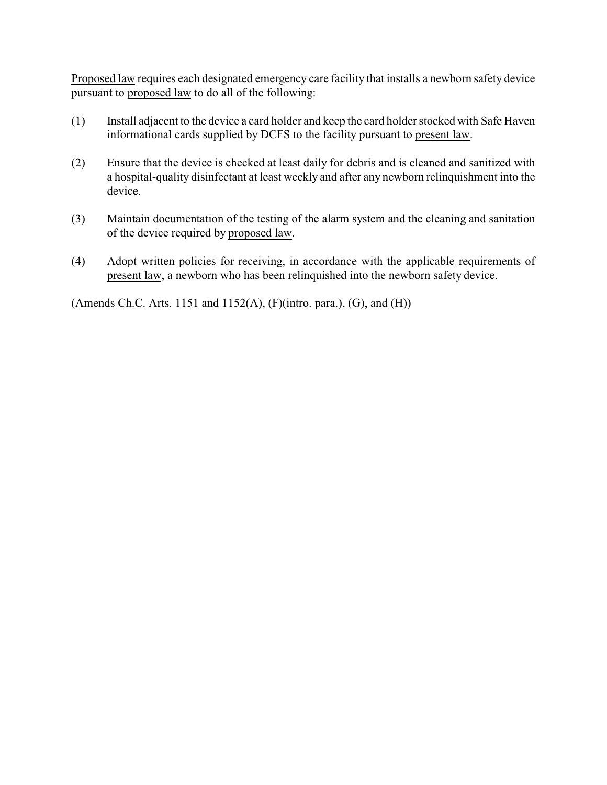Proposed law requires each designated emergency care facility that installs a newborn safety device pursuant to proposed law to do all of the following:

- (1) Install adjacent to the device a card holder and keep the card holder stocked with Safe Haven informational cards supplied by DCFS to the facility pursuant to present law.
- (2) Ensure that the device is checked at least daily for debris and is cleaned and sanitized with a hospital-quality disinfectant at least weekly and after any newborn relinquishment into the device.
- (3) Maintain documentation of the testing of the alarm system and the cleaning and sanitation of the device required by proposed law.
- (4) Adopt written policies for receiving, in accordance with the applicable requirements of present law, a newborn who has been relinquished into the newborn safety device.

(Amends Ch.C. Arts. 1151 and 1152(A), (F)(intro. para.), (G), and (H))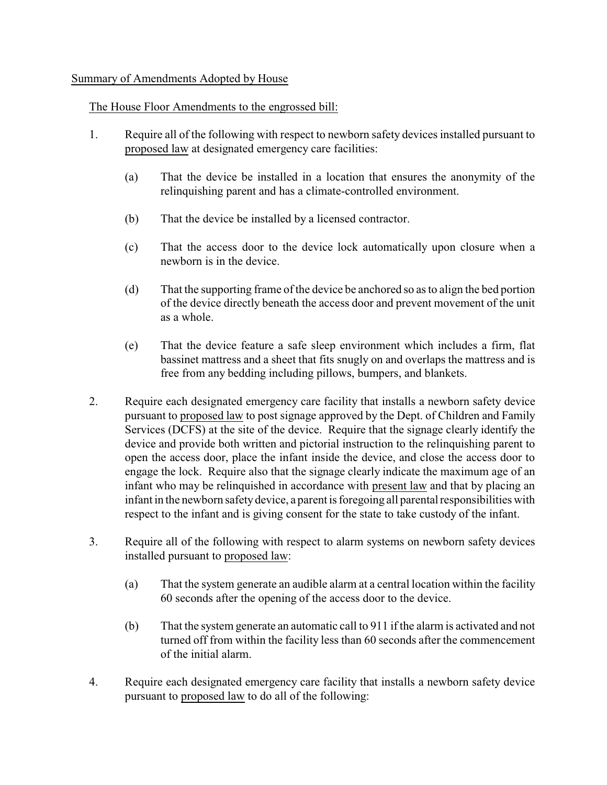## Summary of Amendments Adopted by House

## The House Floor Amendments to the engrossed bill:

- 1. Require all of the following with respect to newborn safety devices installed pursuant to proposed law at designated emergency care facilities:
	- (a) That the device be installed in a location that ensures the anonymity of the relinquishing parent and has a climate-controlled environment.
	- (b) That the device be installed by a licensed contractor.
	- (c) That the access door to the device lock automatically upon closure when a newborn is in the device.
	- (d) That the supporting frame of the device be anchored so as to align the bed portion of the device directly beneath the access door and prevent movement of the unit as a whole.
	- (e) That the device feature a safe sleep environment which includes a firm, flat bassinet mattress and a sheet that fits snugly on and overlaps the mattress and is free from any bedding including pillows, bumpers, and blankets.
- 2. Require each designated emergency care facility that installs a newborn safety device pursuant to proposed law to post signage approved by the Dept. of Children and Family Services (DCFS) at the site of the device. Require that the signage clearly identify the device and provide both written and pictorial instruction to the relinquishing parent to open the access door, place the infant inside the device, and close the access door to engage the lock. Require also that the signage clearly indicate the maximum age of an infant who may be relinquished in accordance with present law and that by placing an infant in the newborn safety device, a parent is foregoing all parental responsibilities with respect to the infant and is giving consent for the state to take custody of the infant.
- 3. Require all of the following with respect to alarm systems on newborn safety devices installed pursuant to proposed law:
	- (a) That the system generate an audible alarm at a central location within the facility 60 seconds after the opening of the access door to the device.
	- (b) That the system generate an automatic call to 911 if the alarm is activated and not turned off from within the facility less than 60 seconds after the commencement of the initial alarm.
- 4. Require each designated emergency care facility that installs a newborn safety device pursuant to proposed law to do all of the following: